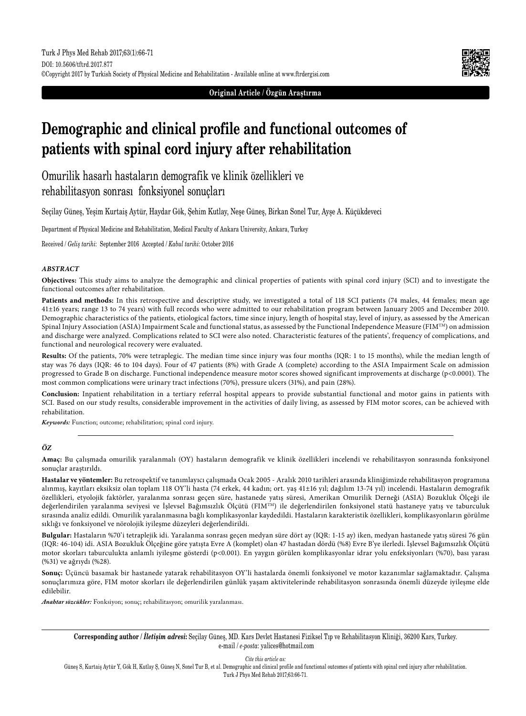

**Original Article / Özgün Araştırma**

# **Demographic and clinical profile and functional outcomes of patients with spinal cord injury after rehabilitation**

Omurilik hasarlı hastaların demografik ve klinik özellikleri ve rehabilitasyon sonrası fonksiyonel sonuçları

Seçilay Güneş, Yeşim Kurtaiş Aytür, Haydar Gök, Şehim Kutlay, Neşe Güneş, Birkan Sonel Tur, Ayşe A. Küçükdeveci

Department of Physical Medicine and Rehabilitation, Medical Faculty of Ankara University, Ankara, Turkey

Received / *Geliş tarihi*: September 2016 Accepted / *Kabul tarihi*: October 2016

## *ABSTRACT*

**Objectives:** This study aims to analyze the demographic and clinical properties of patients with spinal cord injury (SCI) and to investigate the functional outcomes after rehabilitation.

Patients and methods: In this retrospective and descriptive study, we investigated a total of 118 SCI patients (74 males, 44 females; mean age 41±16 years; range 13 to 74 years) with full records who were admitted to our rehabilitation program between January 2005 and December 2010. Demographic characteristics of the patients, etiological factors, time since injury, length of hospital stay, level of injury, as assessed by the American Spinal Injury Association (ASIA) Impairment Scale and functional status, as assessed by the Functional Independence Measure (FIMTM) on admission and discharge were analyzed. Complications related to SCI were also noted. Characteristic features of the patients', frequency of complications, and functional and neurological recovery were evaluated.

**Results:** Of the patients, 70% were tetraplegic. The median time since injury was four months (IQR: 1 to 15 months), while the median length of stay was 76 days (IQR: 46 to 104 days). Four of 47 patients (8%) with Grade A (complete) according to the ASIA Impairment Scale on admission progressed to Grade B on discharge. Functional independence measure motor scores showed significant improvements at discharge (p<0.0001). The most common complications were urinary tract infections (70%), pressure ulcers (31%), and pain (28%).

**Conclusion:** Inpatient rehabilitation in a tertiary referral hospital appears to provide substantial functional and motor gains in patients with SCI. Based on our study results, considerable improvement in the activities of daily living, as assessed by FIM motor scores, can be achieved with rehabilitation.

*Keywords:* Function; outcome; rehabilitation; spinal cord injury.

# *ÖZ*

**Amaç:** Bu çalışmada omurilik yaralanmalı (OY) hastaların demografik ve klinik özellikleri incelendi ve rehabilitasyon sonrasında fonksiyonel sonuçlar araştırıldı.

**Hastalar ve yöntemler:** Bu retrospektif ve tanımlayıcı çalışmada Ocak 2005 - Aralık 2010 tarihleri arasında kliniğimizde rehabilitasyon programına alınmış, kayıtları eksiksiz olan toplam 118 OY'li hasta (74 erkek, 44 kadın; ort. yaş 41±16 yıl; dağılım 13-74 yıl) incelendi. Hastaların demografik özellikleri, etyolojik faktörler, yaralanma sonrası geçen süre, hastanede yatış süresi, Amerikan Omurilik Derneği (ASIA) Bozukluk Ölçeği ile değerlendirilen yaralanma seviyesi ve İşlevsel Bağımsızlık Ölçütü (FIM<sup>TM</sup>) ile değerlendirilen fonksiyonel statü hastaneye yatış ve taburculuk sırasında analiz edildi. Omurilik yaralanmasına bağlı komplikasyonlar kaydedildi. Hastaların karakteristik özellikleri, komplikasyonların görülme sıklığı ve fonksiyonel ve nörolojik iyileşme düzeyleri değerlendirildi.

**Bulgular:** Hastaların %70'i tetraplejik idi. Yaralanma sonrası geçen medyan süre dört ay (IQR: 1-15 ay) iken, medyan hastanede yatış süresi 76 gün (IQR: 46-104) idi. ASIA Bozukluk Ölçeğine göre yatışta Evre A (komplet) olan 47 hastadan dördü (%8) Evre B'ye ilerledi. İşlevsel Bağımsızlık Ölçütü motor skorları taburculukta anlamlı iyileşme gösterdi (p<0.001). En yaygın görülen komplikasyonlar idrar yolu enfeksiyonları (%70), bası yarası (%31) ve ağrıydı (%28).

**Sonuç:** Üçüncü basamak bir hastanede yatarak rehabilitasyon OY'li hastalarda önemli fonksiyonel ve motor kazanımlar sağlamaktadır. Çalışma sonuçlarımıza göre, FIM motor skorları ile değerlendirilen günlük yaşam aktivitelerinde rehabilitasyon sonrasında önemli düzeyde iyileşme elde edilebilir.

*Anahtar sözcükler:* Fonksiyon; sonuç; rehabilitasyon; omurilik yaralanması.

**Corresponding author /** *İletişim adresi***:** Seçilay Güneş, MD. Kars Devlet Hastanesi Fiziksel Tıp ve Rehabilitasyon Kliniği, 36200 Kars, Turkey. e-mail / *e-posta*: yalices@hotmail.com

*Cite this article as:*

Güneş S, Kurtaiş Aytür Y, Gök H, Kutlay Ş, Güneş N, Sonel Tur B, et al. Demographic and clinical profile and functional outcomes of patients with spinal cord injury after rehabilitation. Turk J Phys Med Rehab 2017;63:66-71.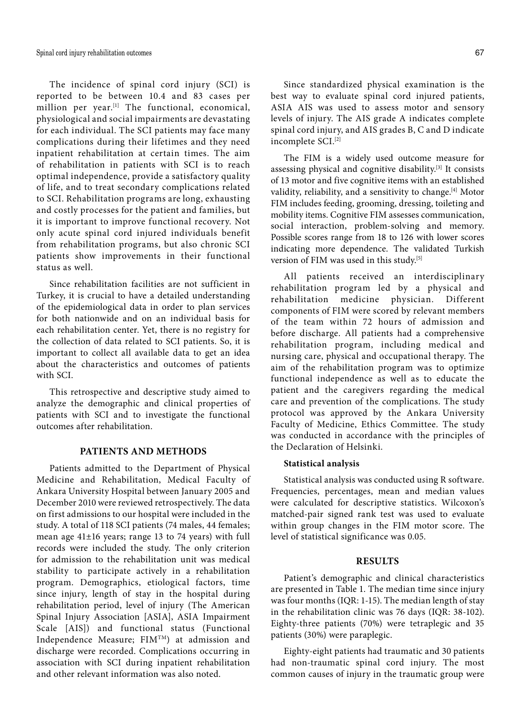The incidence of spinal cord injury (SCI) is reported to be between 10.4 and 83 cases per million per year.<sup>[1]</sup> The functional, economical, physiological and social impairments are devastating for each individual. The SCI patients may face many complications during their lifetimes and they need inpatient rehabilitation at certain times. The aim of rehabilitation in patients with SCI is to reach optimal independence, provide a satisfactory quality of life, and to treat secondary complications related to SCI. Rehabilitation programs are long, exhausting and costly processes for the patient and families, but it is important to improve functional recovery. Not only acute spinal cord injured individuals benefit from rehabilitation programs, but also chronic SCI patients show improvements in their functional status as well.

Since rehabilitation facilities are not sufficient in Turkey, it is crucial to have a detailed understanding of the epidemiological data in order to plan services for both nationwide and on an individual basis for each rehabilitation center. Yet, there is no registry for the collection of data related to SCI patients. So, it is important to collect all available data to get an idea about the characteristics and outcomes of patients with SCI.

This retrospective and descriptive study aimed to analyze the demographic and clinical properties of patients with SCI and to investigate the functional outcomes after rehabilitation.

## **PATIENTS AND METHODS**

Patients admitted to the Department of Physical Medicine and Rehabilitation, Medical Faculty of Ankara University Hospital between January 2005 and December 2010 were reviewed retrospectively. The data on first admissions to our hospital were included in the study. A total of 118 SCI patients (74 males, 44 females; mean age 41±16 years; range 13 to 74 years) with full records were included the study. The only criterion for admission to the rehabilitation unit was medical stability to participate actively in a rehabilitation program. Demographics, etiological factors, time since injury, length of stay in the hospital during rehabilitation period, level of injury (The American Spinal Injury Association [ASIA], ASIA Impairment Scale [AIS]) and functional status (Functional Independence Measure; FIMTM) at admission and discharge were recorded. Complications occurring in association with SCI during inpatient rehabilitation and other relevant information was also noted.

Since standardized physical examination is the best way to evaluate spinal cord injured patients, ASIA AIS was used to assess motor and sensory levels of injury. The AIS grade A indicates complete spinal cord injury, and AIS grades B, C and D indicate incomplete SCI.[2]

The FIM is a widely used outcome measure for assessing physical and cognitive disability.[3] It consists of 13 motor and five cognitive items with an established validity, reliability, and a sensitivity to change.<sup>[4]</sup> Motor FIM includes feeding, grooming, dressing, toileting and mobility items. Cognitive FIM assesses communication, social interaction, problem-solving and memory. Possible scores range from 18 to 126 with lower scores indicating more dependence. The validated Turkish version of FIM was used in this study.<sup>[5]</sup>

All patients received an interdisciplinary rehabilitation program led by a physical and rehabilitation medicine physician. Different components of FIM were scored by relevant members of the team within 72 hours of admission and before discharge. All patients had a comprehensive rehabilitation program, including medical and nursing care, physical and occupational therapy. The aim of the rehabilitation program was to optimize functional independence as well as to educate the patient and the caregivers regarding the medical care and prevention of the complications. The study protocol was approved by the Ankara University Faculty of Medicine, Ethics Committee. The study was conducted in accordance with the principles of the Declaration of Helsinki.

#### **Statistical analysis**

Statistical analysis was conducted using R software. Frequencies, percentages, mean and median values were calculated for descriptive statistics. Wilcoxon's matched-pair signed rank test was used to evaluate within group changes in the FIM motor score. The level of statistical significance was 0.05.

# **RESULTS**

Patient's demographic and clinical characteristics are presented in Table 1. The median time since injury was four months (IQR: 1-15). The median length of stay in the rehabilitation clinic was 76 days (IQR: 38-102). Eighty-three patients (70%) were tetraplegic and 35 patients (30%) were paraplegic.

Eighty-eight patients had traumatic and 30 patients had non-traumatic spinal cord injury. The most common causes of injury in the traumatic group were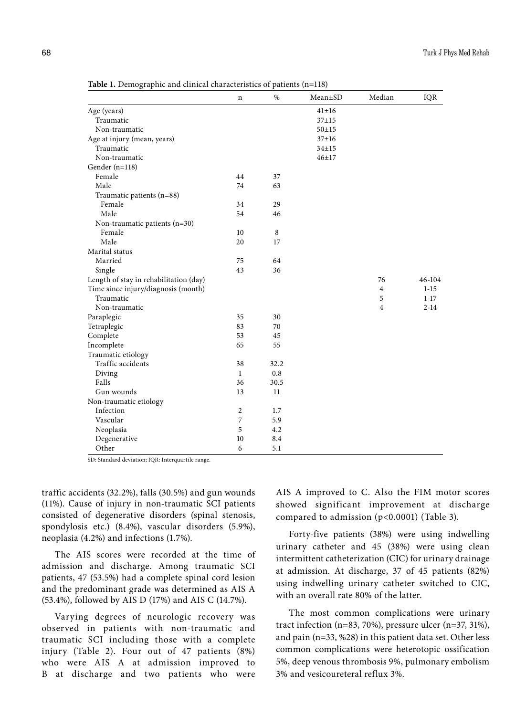|                                        | n              | $\%$ | $Mean \pm SD$ | Median         | IQR      |
|----------------------------------------|----------------|------|---------------|----------------|----------|
| Age (years)                            |                |      | $41 + 16$     |                |          |
| Traumatic                              |                |      | $37 + 15$     |                |          |
| Non-traumatic                          |                |      | $50 + 15$     |                |          |
| Age at injury (mean, years)            |                |      | $37 + 16$     |                |          |
| Traumatic                              |                |      | $34 + 15$     |                |          |
| Non-traumatic                          |                |      | $46 + 17$     |                |          |
| Gender (n=118)                         |                |      |               |                |          |
| Female                                 | 44             | 37   |               |                |          |
| Male                                   | 74             | 63   |               |                |          |
| Traumatic patients (n=88)              |                |      |               |                |          |
| Female                                 | 34             | 29   |               |                |          |
| Male                                   | 54             | 46   |               |                |          |
| Non-traumatic patients $(n=30)$        |                |      |               |                |          |
| Female                                 | 10             | 8    |               |                |          |
| Male                                   | 20             | 17   |               |                |          |
| Marital status                         |                |      |               |                |          |
| Married                                | 75             | 64   |               |                |          |
| Single                                 | 43             | 36   |               |                |          |
| Length of stay in rehabilitation (day) |                |      |               | 76             | 46-104   |
| Time since injury/diagnosis (month)    |                |      |               | 4              | $1 - 15$ |
| Traumatic                              |                |      |               | 5              | $1 - 17$ |
| Non-traumatic                          |                |      |               | $\overline{4}$ | $2 - 14$ |
| Paraplegic                             | 35             | 30   |               |                |          |
| Tetraplegic                            | 83             | 70   |               |                |          |
| Complete                               | 53             | 45   |               |                |          |
| Incomplete                             | 65             | 55   |               |                |          |
| Traumatic etiology                     |                |      |               |                |          |
| Traffic accidents                      | 38             | 32.2 |               |                |          |
| Diving                                 | 1              | 0.8  |               |                |          |
| Falls                                  | 36             | 30.5 |               |                |          |
| Gun wounds                             | 13             | 11   |               |                |          |
| Non-traumatic etiology                 |                |      |               |                |          |
| Infection                              | $\overline{c}$ | 1.7  |               |                |          |
| Vascular                               | 7              | 5.9  |               |                |          |
| Neoplasia                              | 5              | 4.2  |               |                |          |
| Degenerative                           | 10             | 8.4  |               |                |          |
| Other                                  | 6              | 5.1  |               |                |          |

**Table 1.** Demographic and clinical characteristics of patients (n=118)

SD: Standard deviation; IQR: Interquartile range.

traffic accidents (32.2%), falls (30.5%) and gun wounds (11%). Cause of injury in non-traumatic SCI patients consisted of degenerative disorders (spinal stenosis, spondylosis etc.) (8.4%), vascular disorders (5.9%), neoplasia (4.2%) and infections (1.7%).

The AIS scores were recorded at the time of admission and discharge. Among traumatic SCI patients, 47 (53.5%) had a complete spinal cord lesion and the predominant grade was determined as AIS A (53.4%), followed by AIS D (17%) and AIS C (14.7%).

Varying degrees of neurologic recovery was observed in patients with non-traumatic and traumatic SCI including those with a complete injury (Table 2). Four out of 47 patients (8%) who were AIS A at admission improved to B at discharge and two patients who were AIS A improved to C. Also the FIM motor scores showed significant improvement at discharge compared to admission (p<0.0001) (Table 3).

Forty-five patients (38%) were using indwelling urinary catheter and 45 (38%) were using clean intermittent catheterization (CIC) for urinary drainage at admission. At discharge, 37 of 45 patients (82%) using indwelling urinary catheter switched to CIC, with an overall rate 80% of the latter.

The most common complications were urinary tract infection (n=83, 70%), pressure ulcer (n=37, 31%), and pain (n=33, %28) in this patient data set. Other less common complications were heterotopic ossification 5%, deep venous thrombosis 9%, pulmonary embolism 3% and vesicoureteral reflux 3%.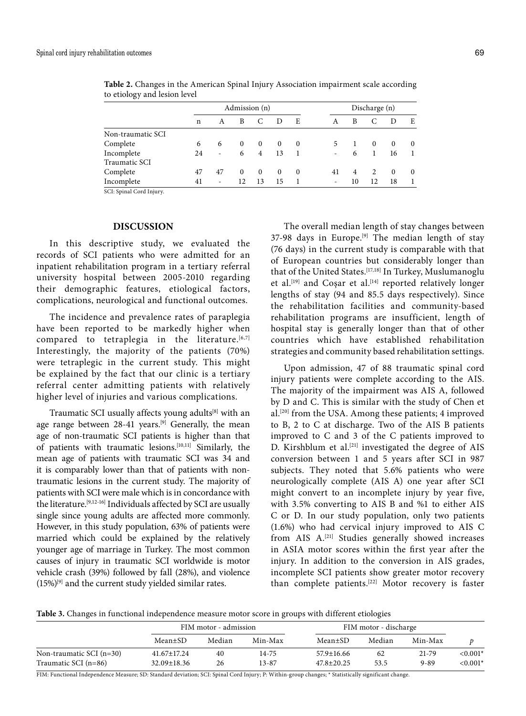|                   |    | Admission (n) |          |                |          | Discharge (n) |    |    |          |          |          |
|-------------------|----|---------------|----------|----------------|----------|---------------|----|----|----------|----------|----------|
|                   | n  | A             | B        |                |          | E             | A  | B  |          |          | E        |
| Non-traumatic SCI |    |               |          |                |          |               |    |    |          |          |          |
| Complete          | 6  | 6             | $\Omega$ | $\Omega$       | $\Omega$ | $\bf{0}$      | 5  |    | $\Omega$ | $\Omega$ | $\theta$ |
| Incomplete        | 24 | $\sim$        | 6        | $\overline{4}$ | 13       |               |    | 6  |          | 16       |          |
| Traumatic SCI     |    |               |          |                |          |               |    |    |          |          |          |
| Complete          | 47 | 47            | 0        | $\theta$       | $\theta$ | $\bf{0}$      | 41 | 4  | 2        | $\theta$ | $\theta$ |
| Incomplete        | 41 | $\sim$        | 12       | 13             | 15       |               | ۰  | 10 | 12       | 18       |          |

**Table 2.** Changes in the American Spinal Injury Association impairment scale according to etiology and lesion level

SCI: Spinal Cord Injury.

# **DISCUSSION**

In this descriptive study, we evaluated the records of SCI patients who were admitted for an inpatient rehabilitation program in a tertiary referral university hospital between 2005-2010 regarding their demographic features, etiological factors, complications, neurological and functional outcomes.

The incidence and prevalence rates of paraplegia have been reported to be markedly higher when compared to tetraplegia in the literature. $[6,7]$ Interestingly, the majority of the patients (70%) were tetraplegic in the current study. This might be explained by the fact that our clinic is a tertiary referral center admitting patients with relatively higher level of injuries and various complications.

Traumatic SCI usually affects young adults[8] with an age range between 28-41 years.<sup>[9]</sup> Generally, the mean age of non-traumatic SCI patients is higher than that of patients with traumatic lesions.[10,11] Similarly, the mean age of patients with traumatic SCI was 34 and it is comparably lower than that of patients with nontraumatic lesions in the current study. The majority of patients with SCI were male which is in concordance with the literature.[9,12-16] Individuals affected by SCI are usually single since young adults are affected more commonly. However, in this study population, 63% of patients were married which could be explained by the relatively younger age of marriage in Turkey. The most common causes of injury in traumatic SCI worldwide is motor vehicle crash (39%) followed by fall (28%), and violence  $(15%)^{[9]}$  and the current study yielded similar rates.

The overall median length of stay changes between 37-98 days in Europe.<sup>[9]</sup> The median length of stay (76 days) in the current study is comparable with that of European countries but considerably longer than that of the United States.[17,18] In Turkey, Muslumanoglu et al.<sup>[19]</sup> and Cosar et al.<sup>[14]</sup> reported relatively longer lengths of stay (94 and 85.5 days respectively). Since the rehabilitation facilities and community-based rehabilitation programs are insufficient, length of hospital stay is generally longer than that of other countries which have established rehabilitation strategies and community based rehabilitation settings.

Upon admission, 47 of 88 traumatic spinal cord injury patients were complete according to the AIS. The majority of the impairment was AIS A, followed by D and C. This is similar with the study of Chen et al.[20] from the USA. Among these patients; 4 improved to B, 2 to C at discharge. Two of the AIS B patients improved to C and 3 of the C patients improved to D. Kirshblum et al.<sup>[21]</sup> investigated the degree of AIS conversion between 1 and 5 years after SCI in 987 subjects. They noted that 5.6% patients who were neurologically complete (AIS A) one year after SCI might convert to an incomplete injury by year five, with 3.5% converting to AIS B and %1 to either AIS C or D. In our study population, only two patients (1.6%) who had cervical injury improved to AIS C from AIS A.<sup>[21]</sup> Studies generally showed increases in ASIA motor scores within the first year after the injury. In addition to the conversion in AIS grades, incomplete SCI patients show greater motor recovery than complete patients.[22] Motor recovery is faster

**Table 3.** Changes in functional independence measure motor score in groups with different etiologies

|                            |                   | FIM motor - admission |           |                  | FIM motor - discharge |          |            |  |
|----------------------------|-------------------|-----------------------|-----------|------------------|-----------------------|----------|------------|--|
|                            | Mean±SD           | Median                | Min-Max   | Mean±SD          | Median                | Min-Max  |            |  |
| Non-traumatic SCI $(n=30)$ | 41.67±17.24       | 40                    | 14-75     | 57.9±16.66       | -62                   | 21-79    | $< 0.001*$ |  |
| Traumatic SCI $(n=86)$     | $32.09 \pm 18.36$ | 26                    | $13 - 87$ | $47.8 \pm 20.25$ | 53.5                  | $9 - 89$ | $< 0.001*$ |  |

FIM: Functional Independence Measure; SD: Standard deviation; SCI: Spinal Cord Injury; P: Within-group changes; \* Statistically significant change.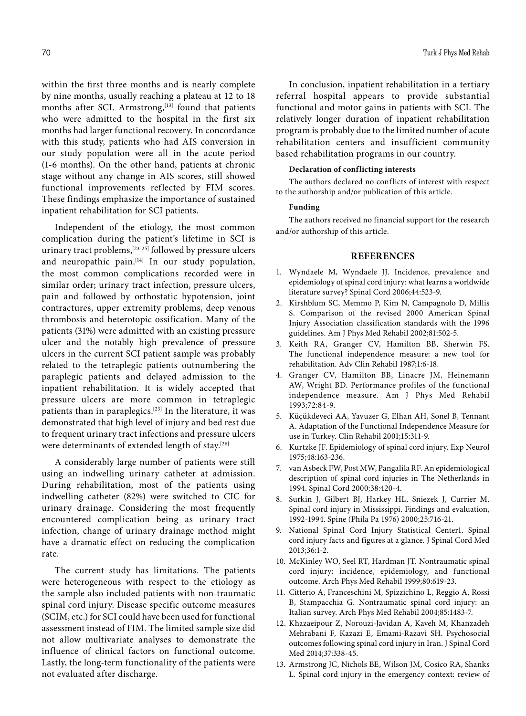within the first three months and is nearly complete by nine months, usually reaching a plateau at 12 to 18 months after SCI. Armstrong,<sup>[13]</sup> found that patients who were admitted to the hospital in the first six months had larger functional recovery. In concordance with this study, patients who had AIS conversion in our study population were all in the acute period (1-6 months). On the other hand, patients at chronic stage without any change in AIS scores, still showed functional improvements reflected by FIM scores. These findings emphasize the importance of sustained inpatient rehabilitation for SCI patients.

Independent of the etiology, the most common complication during the patient's lifetime in SCI is urinary tract problems,<sup>[23-25]</sup> followed by pressure ulcers and neuropathic pain.<sup>[14]</sup> In our study population, the most common complications recorded were in similar order; urinary tract infection, pressure ulcers, pain and followed by orthostatic hypotension, joint contractures, upper extremity problems, deep venous thrombosis and heterotopic ossification. Many of the patients (31%) were admitted with an existing pressure ulcer and the notably high prevalence of pressure ulcers in the current SCI patient sample was probably related to the tetraplegic patients outnumbering the paraplegic patients and delayed admission to the inpatient rehabilitation. It is widely accepted that pressure ulcers are more common in tetraplegic patients than in paraplegics.[23] In the literature, it was demonstrated that high level of injury and bed rest due to frequent urinary tract infections and pressure ulcers were determinants of extended length of stay.<sup>[26]</sup>

A considerably large number of patients were still using an indwelling urinary catheter at admission. During rehabilitation, most of the patients using indwelling catheter (82%) were switched to CIC for urinary drainage. Considering the most frequently encountered complication being as urinary tract infection, change of urinary drainage method might have a dramatic effect on reducing the complication rate.

The current study has limitations. The patients were heterogeneous with respect to the etiology as the sample also included patients with non-traumatic spinal cord injury. Disease specific outcome measures (SCIM, etc.) for SCI could have been used for functional assessment instead of FIM. The limited sample size did not allow multivariate analyses to demonstrate the influence of clinical factors on functional outcome. Lastly, the long-term functionality of the patients were not evaluated after discharge.

In conclusion, inpatient rehabilitation in a tertiary referral hospital appears to provide substantial functional and motor gains in patients with SCI. The relatively longer duration of inpatient rehabilitation program is probably due to the limited number of acute rehabilitation centers and insufficient community based rehabilitation programs in our country.

# **Declaration of conflicting interests**

The authors declared no conflicts of interest with respect to the authorship and/or publication of this article.

## **Funding**

The authors received no financial support for the research and/or authorship of this article.

## **REFERENCES**

- 1. Wyndaele M, Wyndaele JJ. Incidence, prevalence and epidemiology of spinal cord injury: what learns a worldwide literature survey? Spinal Cord 2006;44:523-9.
- 2. Kirshblum SC, Memmo P, Kim N, Campagnolo D, Millis S. Comparison of the revised 2000 American Spinal Injury Association classification standards with the 1996 guidelines. Am J Phys Med Rehabil 2002;81:502-5.
- 3. Keith RA, Granger CV, Hamilton BB, Sherwin FS. The functional independence measure: a new tool for rehabilitation. Adv Clin Rehabil 1987;1:6-18.
- 4. Granger CV, Hamilton BB, Linacre JM, Heinemann AW, Wright BD. Performance profiles of the functional independence measure. Am J Phys Med Rehabil 1993;72:84-9.
- 5. Küçükdeveci AA, Yavuzer G, Elhan AH, Sonel B, Tennant A. Adaptation of the Functional Independence Measure for use in Turkey. Clin Rehabil 2001;15:311-9.
- 6. Kurtzke JF. Epidemiology of spinal cord injury. Exp Neurol 1975;48:163-236.
- 7. van Asbeck FW, Post MW, Pangalila RF. An epidemiological description of spinal cord injuries in The Netherlands in 1994. Spinal Cord 2000;38:420-4.
- 8. Surkin J, Gilbert BJ, Harkey HL, Sniezek J, Currier M. Spinal cord injury in Mississippi. Findings and evaluation, 1992-1994. Spine (Phila Pa 1976) 2000;25:716-21.
- 9. National Spinal Cord Injury Statistical Center1. Spinal cord injury facts and figures at a glance. J Spinal Cord Med 2013;36:1-2.
- 10. McKinley WO, Seel RT, Hardman JT. Nontraumatic spinal cord injury: incidence, epidemiology, and functional outcome. Arch Phys Med Rehabil 1999;80:619-23.
- 11. Citterio A, Franceschini M, Spizzichino L, Reggio A, Rossi B, Stampacchia G. Nontraumatic spinal cord injury: an Italian survey. Arch Phys Med Rehabil 2004;85:1483-7.
- 12. Khazaeipour Z, Norouzi-Javidan A, Kaveh M, Khanzadeh Mehrabani F, Kazazi E, Emami-Razavi SH. Psychosocial outcomes following spinal cord injury in Iran. J Spinal Cord Med 2014;37:338-45.
- 13. Armstrong JC, Nichols BE, Wilson JM, Cosico RA, Shanks L. Spinal cord injury in the emergency context: review of